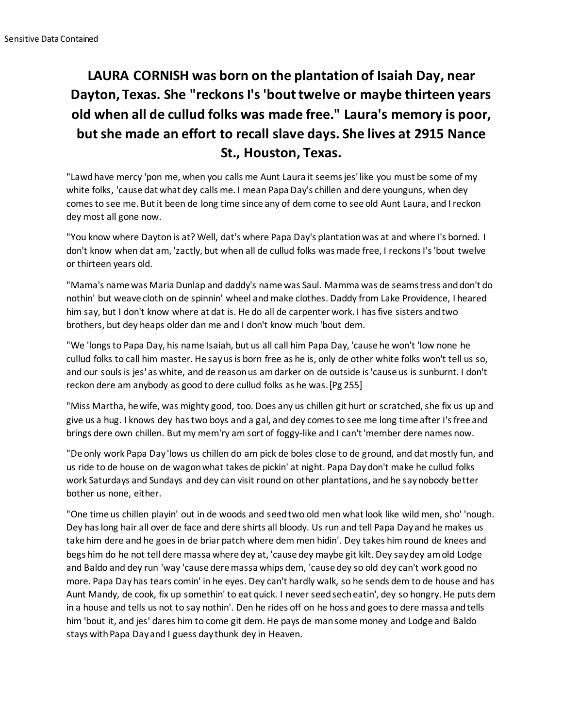## **LAURA CORNISH was born on the plantation of Isaiah Day, near Dayton, Texas. She "reckons I's 'bout twelve or maybe thirteen years old when all de cullud folks was made free." Laura's memory is poor, but she made an effort to recall slave days. She lives at 2915 Nance St., Houston, Texas.**

"Lawd have mercy 'pon me, when you calls me Aunt Laura it seems jes' like you must be some of my white folks, 'cause dat what dey calls me. I mean Papa Day's chillen and dere younguns, when dey comes to see me. But it been de long time since any of dem come to see old Aunt Laura, and I reckon dey most all gone now.

"You know where Dayton is at? Well, dat's where Papa Day's plantation was at and where I's borned. I don't know when dat am, 'zactly, but when all de cullud folks was made free, I reckons I's 'bout twelve or thirteen years old.

"Mama's name was Maria Dunlap and daddy's name was Saul. Mamma was de seamstress and don't do nothin' but weave cloth on de spinnin' wheel and make clothes. Daddy from Lake Providence, I heared him say, but I don't know where at dat is. He do all de carpenter work. I has five sisters and two brothers, but dey heaps older dan me and I don't know much 'bout dem.

"We 'longs to Papa Day, his name Isaiah, but us all call him Papa Day, 'cause he won't 'low none he cullud folks to call him master. He say us is born free as he is, only de other white folks won't tell us so, and our souls is jes' as white, and de reason us am darker on de outside is 'cause us is sunburnt. I don't reckon dere am anybody as good to dere cullud folks as he was.[Pg 255]

"Miss Martha, he wife, was mighty good, too. Does any us chillen git hurt or scratched, she fix us up and give us a hug. I knows dey has two boys and a gal, and dey comes to see me long time after I's free and brings dere own chillen. But my mem'ry am sort of foggy-like and I can't 'member dere names now.

"De only work Papa Day 'lows us chillen do am pick de boles close to de ground, and dat mostly fun, and us ride to de house on de wagon what takes de pickin' at night. Papa Day don't make he cullud folks work Saturdays and Sundays and dey can visit round on other plantations, and he say nobody better bother us none, either.

"One time us chillen playin' out in de woods and seed two old men what look like wild men, sho' 'nough. Dey has long hair all over de face and dere shirts all bloody. Us run and tell Papa Day and he makes us take him dere and he goes in de briar patch where dem men hidin'. Dey takes him round de knees and begs him do he not tell dere massa where dey at, 'cause dey maybe git kilt. Dey say dey am old Lodge and Baldo and dey run 'way 'cause dere massa whips dem, 'cause dey so old dey can't work good no more. Papa Day has tears comin' in he eyes. Dey can't hardly walk, so he sends dem to de house and has Aunt Mandy, de cook, fix up somethin' to eat quick. I never seed sech eatin', dey so hongry. He puts dem in a house and tells us not to say nothin'. Den he rides off on he hoss and goes to dere massa and tells him 'bout it, and jes' dares him to come git dem. He pays de man some money and Lodge and Baldo stays with Papa Day and I guess day thunk dey in Heaven.